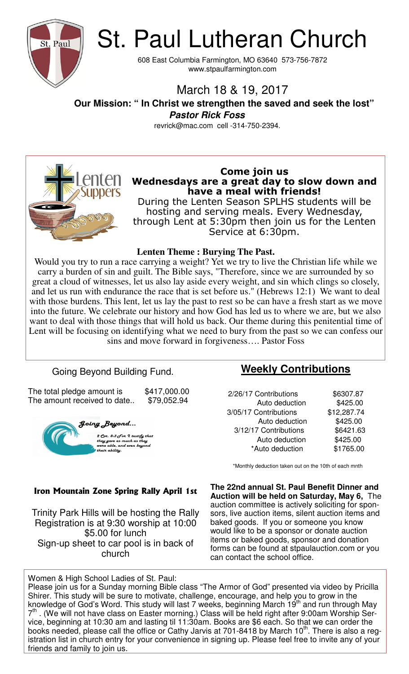

St. Paul Lutheran Church

608 East Columbia Farmington, MO 63640 573-756-7872 www.stpaulfarmington.com

# March 18 & 19, 2017

 **Our Mission: " In Christ we strengthen the saved and seek the lost" Pastor Rick Foss** 

revrick@mac.com cell -314-750-2394.



### **Come join us Wednesdays are a great day to slow down and have a meal with friends!**

During the Lenten Season SPLHS students will be hosting and serving meals. Every Wednesday, through Lent at 5:30pm then join us for the Lenten Service at 6:30pm.

#### **Lenten Theme : Burying The Past.**

Would you try to run a race carrying a weight? Yet we try to live the Christian life while we carry a burden of sin and guilt. The Bible says, "Therefore, since we are surrounded by so great a cloud of witnesses, let us also lay aside every weight, and sin which clings so closely, and let us run with endurance the race that is set before us." (Hebrews 12:1) We want to deal with those burdens. This lent, let us lay the past to rest so be can have a fresh start as we move into the future. We celebrate our history and how God has led us to where we are, but we also want to deal with those things that will hold us back. Our theme during this penitential time of Lent will be focusing on identifying what we need to bury from the past so we can confess our sins and move forward in forgiveness…. Pastor Foss

## Going Beyond Building Fund.

The total pledge amount is  $$417,000.00$ The amount received to date.. \$79,052.94



## **Weekly Contributions**

| 2/26/17 Contributions | \$6307.87   |
|-----------------------|-------------|
| Auto deduction        | \$425.00    |
| 3/05/17 Contributions | \$12,287.74 |
| Auto deduction        | \$425.00    |
| 3/12/17 Contributions | \$6421.63   |
| Auto deduction        | \$425.00    |
| *Auto deduction       | \$1765.00   |
|                       |             |

#### \*Monthly deduction taken out on the 10th of each mnth

**The 22nd annual St. Paul Benefit Dinner and Auction will be held on Saturday, May 6,** The auction committee is actively soliciting for sponsors, live auction items, silent auction items and baked goods. If you or someone you know would like to be a sponsor or donate auction items or baked goods, sponsor and donation forms can be found at stpaulauction.com or you can contact the school office.

#### **Iron Mountain Zone Spring Rally April 1st**

Trinity Park Hills will be hosting the Rally Registration is at 9:30 worship at 10:00 \$5.00 for lunch Sign-up sheet to car pool is in back of church

Women & High School Ladies of St. Paul:

Please join us for a Sunday morning Bible class "The Armor of God" presented via video by Pricilla Shirer. This study will be sure to motivate, challenge, encourage, and help you to grow in the knowledge of God's Word. This study will last 7 weeks, beginning March 19<sup>th</sup> and run through May 7<sup>th</sup>. (We will not have class on Easter morning.) Class will be held right after 9:00am Worship Service, beginning at 10:30 am and lasting til 11:30am. Books are \$6 each. So that we can order the books needed, please call the office or Cathy Jarvis at 701-8418 by March  $10<sup>th</sup>$ . There is also a registration list in church entry for your convenience in signing up. Please feel free to invite any of your friends and family to join us.